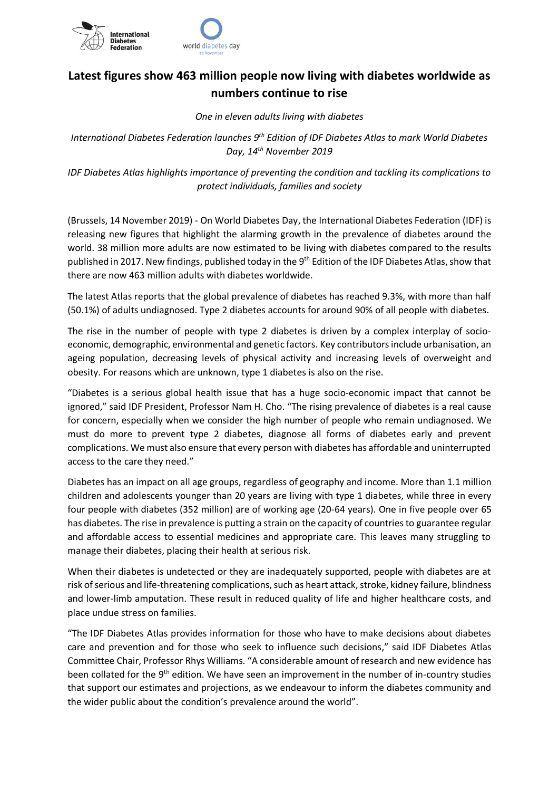

## **Latest figures show 463 million people now living with diabetes worldwide as numbers continue to rise**

*One in eleven adults living with diabetes*

*International Diabetes Federation launches 9th Edition of IDF Diabetes Atlas to mark World Diabetes Day, 14th November 2019*

*IDF Diabetes Atlas highlights importance of preventing the condition and tackling its complications to protect individuals, families and society*

(Brussels, 14 November 2019) - On World Diabetes Day, the International Diabetes Federation (IDF) is releasing new figures that highlight the alarming growth in the prevalence of diabetes around the world. 38 million more adults are now estimated to be living with diabetes compared to the results published in 2017. New findings, published today in the 9<sup>th</sup> Edition of the IDF Diabetes Atlas, show that there are now 463 million adults with diabetes worldwide.

The latest Atlas reports that the global prevalence of diabetes has reached 9.3%, with more than half (50.1%) of adults undiagnosed. Type 2 diabetes accounts for around 90% of all people with diabetes.

The rise in the number of people with type 2 diabetes is driven by a complex interplay of socioeconomic, demographic, environmental and genetic factors. Key contributors include urbanisation, an ageing population, decreasing levels of physical activity and increasing levels of overweight and obesity. For reasons which are unknown, type 1 diabetes is also on the rise.

"Diabetes is a serious global health issue that has a huge socio-economic impact that cannot be ignored," said IDF President, Professor Nam H. Cho. "The rising prevalence of diabetes is a real cause for concern, especially when we consider the high number of people who remain undiagnosed. We must do more to prevent type 2 diabetes, diagnose all forms of diabetes early and prevent complications. We must also ensure that every person with diabetes has affordable and uninterrupted access to the care they need."

Diabetes has an impact on all age groups, regardless of geography and income. More than 1.1 million children and adolescents younger than 20 years are living with type 1 diabetes, while three in every four people with diabetes (352 million) are of working age (20-64 years). One in five people over 65 has diabetes. The rise in prevalence is putting a strain on the capacity of countries to guarantee regular and affordable access to essential medicines and appropriate care. This leaves many struggling to manage their diabetes, placing their health at serious risk.

When their diabetes is undetected or they are inadequately supported, people with diabetes are at risk of serious and life-threatening complications, such as heart attack, stroke, kidney failure, blindness and lower-limb amputation. These result in reduced quality of life and higher healthcare costs, and place undue stress on families.

"The IDF Diabetes Atlas provides information for those who have to make decisions about diabetes care and prevention and for those who seek to influence such decisions," said IDF Diabetes Atlas Committee Chair, Professor Rhys Williams. "A considerable amount of research and new evidence has been collated for the 9<sup>th</sup> edition. We have seen an improvement in the number of in-country studies that support our estimates and projections, as we endeavour to inform the diabetes community and the wider public about the condition's prevalence around the world".